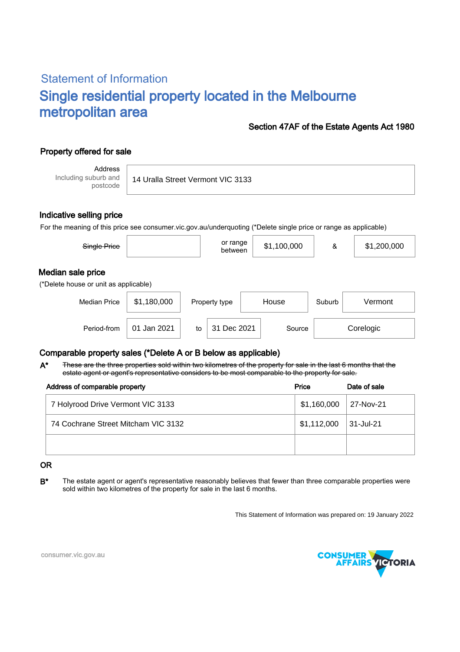# Statement of Information Single residential property located in the Melbourne metropolitan area

### Section 47AF of the Estate Agents Act 1980

## Property offered for sale

Address Including suburb and postcode

14 Uralla Street Vermont VIC 3133

### Indicative selling price

For the meaning of this price see consumer.vic.gov.au/underquoting (\*Delete single price or range as applicable)

| Single Price                                               |             |                        | or range<br>between |  | \$1,100,000 | &       | \$1,200,000 |  |  |  |  |
|------------------------------------------------------------|-------------|------------------------|---------------------|--|-------------|---------|-------------|--|--|--|--|
| Median sale price<br>(*Delete house or unit as applicable) |             |                        |                     |  |             |         |             |  |  |  |  |
| <b>Median Price</b>                                        | \$1,180,000 | House<br>Property type |                     |  | Suburb      | Vermont |             |  |  |  |  |
| Period-from                                                | 01 Jan 2021 | to                     | 31 Dec 2021         |  | Source      |         | Corelogic   |  |  |  |  |

### Comparable property sales (\*Delete A or B below as applicable)

These are the three properties sold within two kilometres of the property for sale in the last 6 months that the estate agent or agent's representative considers to be most comparable to the property for sale. A\*

| Address of comparable property      | Price                    | Date of sale |  |
|-------------------------------------|--------------------------|--------------|--|
| 7 Holyrood Drive Vermont VIC 3133   | $$1,160,000$   27-Nov-21 |              |  |
| 74 Cochrane Street Mitcham VIC 3132 | \$1,112,000              | 31-Jul-21    |  |
|                                     |                          |              |  |

#### OR

B<sup>\*</sup> The estate agent or agent's representative reasonably believes that fewer than three comparable properties were sold within two kilometres of the property for sale in the last 6 months.

This Statement of Information was prepared on: 19 January 2022



consumer.vic.gov.au